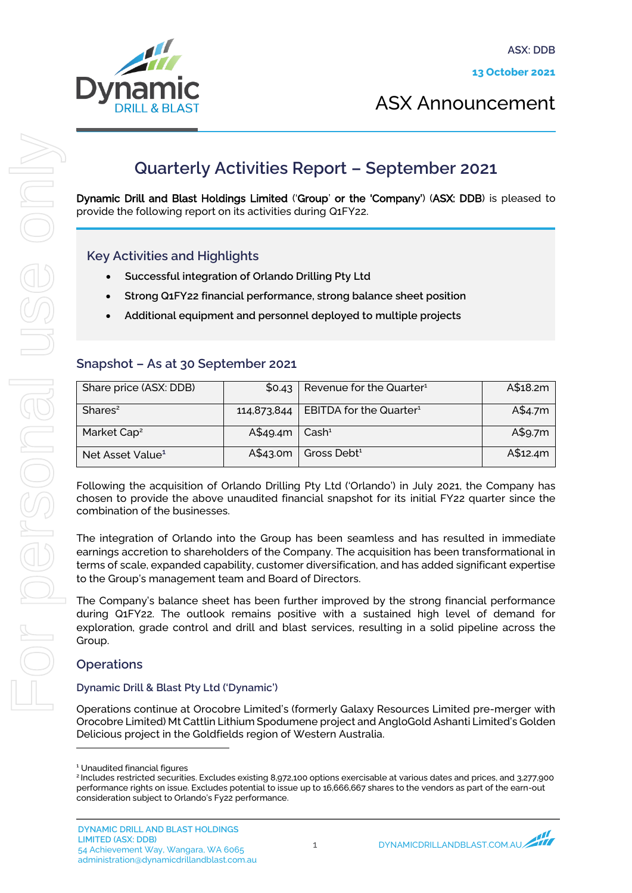

ASX Announcement

# **Quarterly Activities Report – September 2021**

Dynamic Drill and Blast Holdings Limited ('Group' or the 'Company') (ASX: DDB) is pleased to provide the following report on its activities during Q1FY22.

## Key Activities and Highlights

- Successful integration of Orlando Drilling Pty Ltd
- Strong Q1FY22 financial performance, strong balance sheet position
- Additional equipment and personnel deployed to multiple projects

### Snapshot – As at 30 September 2021

| Share price (ASX: DDB)       | \$0.43            | $\vert$ Revenue for the Quarter <sup>1</sup>      | A\$18.2m |
|------------------------------|-------------------|---------------------------------------------------|----------|
| Shares <sup>2</sup>          |                   | 114,873,844   EBITDA for the Quarter <sup>1</sup> | A\$4.7m  |
| Market Cap <sup>2</sup>      | $A$49.4m$ $Cash1$ |                                                   | A\$9.7m  |
| Net Asset Value <sup>1</sup> | A\$43.0m          | Gross Debt <sup>1</sup>                           | A\$12.4m |

Following the acquisition of Orlando Drilling Pty Ltd ('Orlando') in July 2021, the Company has chosen to provide the above unaudited financial snapshot for its initial FY22 quarter since the combination of the businesses.

The integration of Orlando into the Group has been seamless and has resulted in immediate earnings accretion to shareholders of the Company. The acquisition has been transformational in terms of scale, expanded capability, customer diversification, and has added significant expertise to the Group's management team and Board of Directors.

The Company's balance sheet has been further improved by the strong financial performance during Q1FY22. The outlook remains positive with a sustained high level of demand for exploration, grade control and drill and blast services, resulting in a solid pipeline across the Group.

### **Operations**

#### Dynamic Drill & Blast Pty Ltd ('Dynamic')

Operations continue at Orocobre Limited's (formerly Galaxy Resources Limited pre-merger with Orocobre Limited) Mt Cattlin Lithium Spodumene project and AngloGold Ashanti Limited's Golden Delicious project in the Goldfields region of Western Australia.

<sup>1</sup> Unaudited financial figures

<sup>&</sup>lt;sup>2</sup> Includes restricted securities. Excludes existing 8,972,100 options exercisable at various dates and prices, and 3,277,900 performance rights on issue. Excludes potential to issue up to 16,666,667 shares to the vendors as part of the earn-out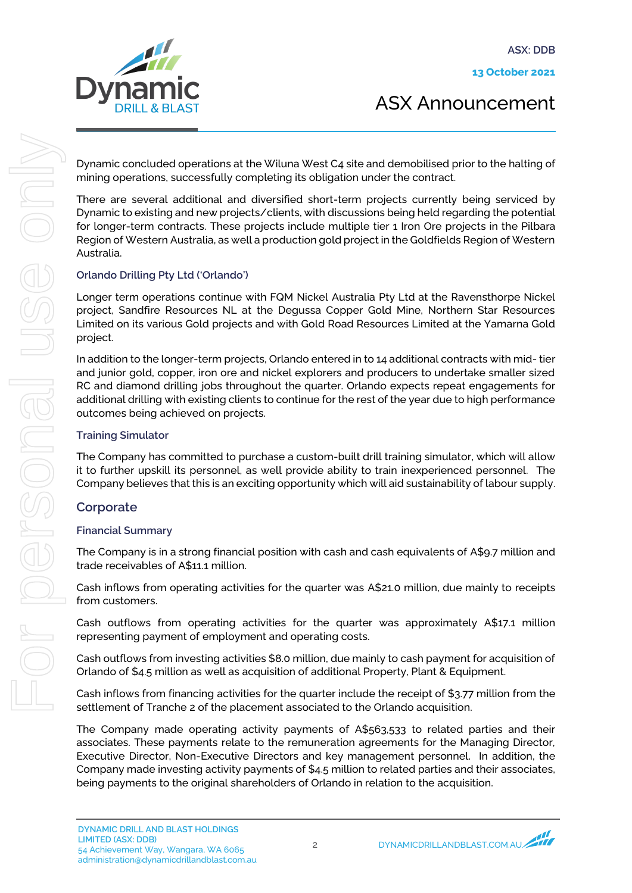13 October 2021



ASX Announcement

Dynamic concluded operations at the Wiluna West C4 site and demobilised prior to the halting of mining operations, successfully completing its obligation under the contract.

There are several additional and diversified short-term projects currently being serviced by Dynamic to existing and new projects/clients, with discussions being held regarding the potential for longer-term contracts. These projects include multiple tier 1 Iron Ore projects in the Pilbara Region of Western Australia, as well a production gold project in the Goldfields Region of Western Australia.

### Orlando Drilling Pty Ltd ('Orlando')

Longer term operations continue with FQM Nickel Australia Pty Ltd at the Ravensthorpe Nickel project, Sandfire Resources NL at the Degussa Copper Gold Mine, Northern Star Resources Limited on its various Gold projects and with Gold Road Resources Limited at the Yamarna Gold project.

In addition to the longer-term projects, Orlando entered in to 14 additional contracts with mid- tier and junior gold, copper, iron ore and nickel explorers and producers to undertake smaller sized RC and diamond drilling jobs throughout the quarter. Orlando expects repeat engagements for additional drilling with existing clients to continue for the rest of the year due to high performance outcomes being achieved on projects.

### Training Simulator

The Company has committed to purchase a custom-built drill training simulator, which will allow it to further upskill its personnel, as well provide ability to train inexperienced personnel. The Company believes that this is an exciting opportunity which will aid sustainability of labour supply.

## **Corporate**

## Financial Summary

The Company is in a strong financial position with cash and cash equivalents of A\$9.7 million and trade receivables of A\$11.1 million.

Cash inflows from operating activities for the quarter was A\$21.0 million, due mainly to receipts from customers.

Cash outflows from operating activities for the quarter was approximately A\$17.1 million representing payment of employment and operating costs.

Cash outflows from investing activities \$8.0 million, due mainly to cash payment for acquisition of Orlando of \$4.5 million as well as acquisition of additional Property, Plant & Equipment.

Cash inflows from financing activities for the quarter include the receipt of \$3.77 million from the settlement of Tranche 2 of the placement associated to the Orlando acquisition.

The Company made operating activity payments of A\$563,533 to related parties and their associates. These payments relate to the remuneration agreements for the Managing Director, Executive Director, Non-Executive Directors and key management personnel. In addition, the Company made investing activity payments of \$4.5 million to related parties and their associates, being payments to the original shareholders of Orlando in relation to the acquisition.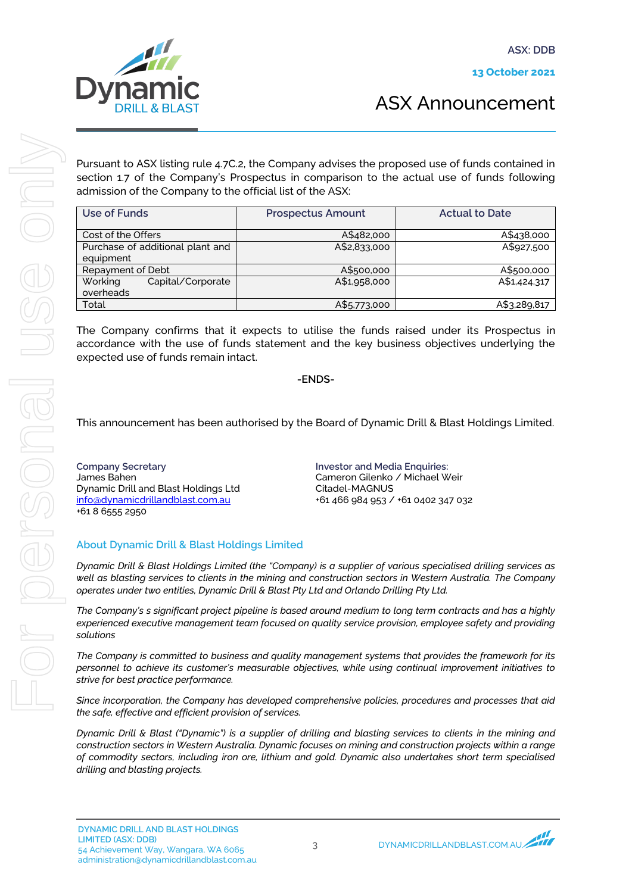

Pursuant to ASX listing rule 4.7C.2, the Company advises the proposed use of funds contained in section 1.7 of the Company's Prospectus in comparison to the actual use of funds following admission of the Company to the official list of the ASX:

| Use of Funds                     | <b>Prospectus Amount</b> | <b>Actual to Date</b> |
|----------------------------------|--------------------------|-----------------------|
| Cost of the Offers               | A\$482,000               | A\$438,000            |
| Purchase of additional plant and | A\$2,833,000             | A\$927,500            |
| equipment                        |                          |                       |
| Repayment of Debt                | A\$500,000               | A\$500,000            |
| Working<br>Capital/Corporate     | A\$1,958,000             | A\$1,424,317          |
| overheads                        |                          |                       |
| Total                            | A\$5,773,000             | A\$3,289,817          |

The Company confirms that it expects to utilise the funds raised under its Prospectus in accordance with the use of funds statement and the key business objectives underlying the expected use of funds remain intact.

-ENDS-

This announcement has been authorised by the Board of Dynamic Drill & Blast Holdings Limited.

Company Secretary James Bahen Dynamic Drill and Blast Holdings Ltd info@dynamicdrillandblast.com.au +61 8 6555 2950

Investor and Media Enquiries: Cameron Gilenko / Michael Weir Citadel-MAGNUS +61 466 984 953 / +61 0402 347 032

#### About Dynamic Drill & Blast Holdings Limited

*Dynamic Drill & Blast Holdings Limited (the "Company) is a supplier of various specialised drilling services as well as blasting services to clients in the mining and construction sectors in Western Australia. The Company operates under two entities, Dynamic Drill & Blast Pty Ltd and Orlando Drilling Pty Ltd.* 

*The Company's s significant project pipeline is based around medium to long term contracts and has a highly experienced executive management team focused on quality service provision, employee safety and providing solutions* 

*The Company is committed to business and quality management systems that provides the framework for its personnel to achieve its customer's measurable objectives, while using continual improvement initiatives to strive for best practice performance.*

*Since incorporation, the Company has developed comprehensive policies, procedures and processes that aid the safe, effective and efficient provision of services.*

*Dynamic Drill & Blast ("Dynamic") is a supplier of drilling and blasting services to clients in the mining and construction sectors in Western Australia. Dynamic focuses on mining and construction projects within a range of commodity sectors, including iron ore, lithium and gold. Dynamic also undertakes short term specialised drilling and blasting projects.*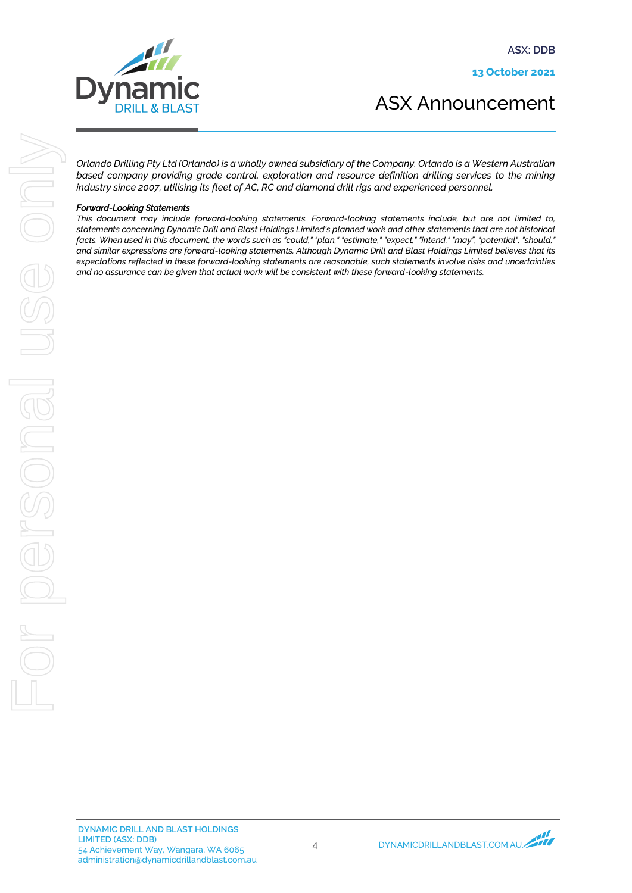ASX: DDB

13 October 2021





*Orlando Drilling Pty Ltd (Orlando) is a wholly owned subsidiary of the Company. Orlando is a Western Australian based company providing grade control, exploration and resource definition drilling services to the mining industry since 2007, utilising its fleet of AC, RC and diamond drill rigs and experienced personnel.*

#### *Forward-Looking Statements*

*This document may include forward-looking statements. Forward-looking statements include, but are not limited to, statements concerning Dynamic Drill and Blast Holdings Limited's planned work and other statements that are not historical facts. When used in this document, the words such as "could," "plan," "estimate," "expect," "intend," "may", "potential", "should," and similar expressions are forward-looking statements. Although Dynamic Drill and Blast Holdings Limited believes that its expectations reflected in these forward-looking statements are reasonable, such statements involve risks and uncertainties and no assurance can be given that actual work will be consistent with these forward-looking statements.*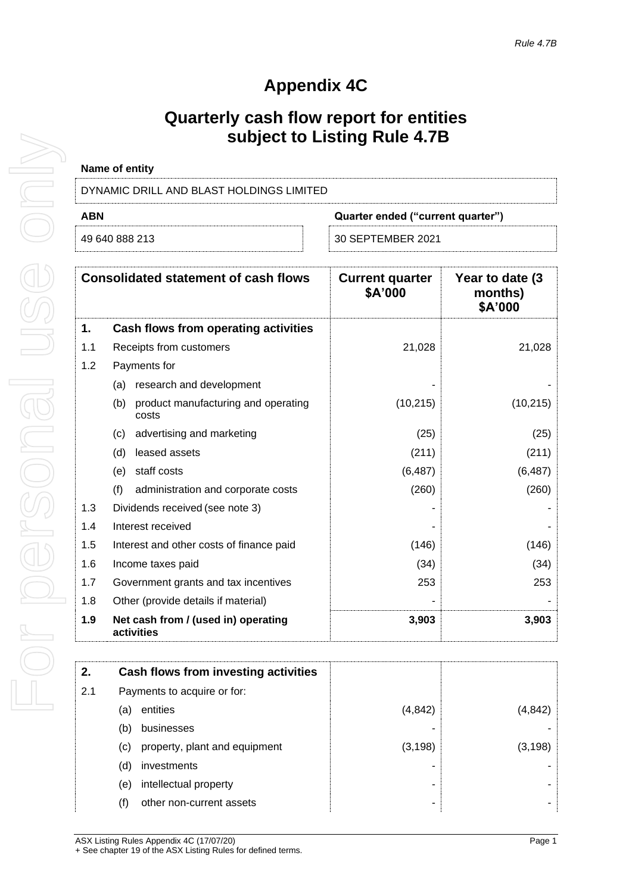# **Appendix 4C**

## **Quarterly cash flow report for entities subject to Listing Rule 4.7B**

| Name of entity                           |                                   |
|------------------------------------------|-----------------------------------|
| DYNAMIC DRILL AND BLAST HOLDINGS LIMITED |                                   |
| <b>ABN</b>                               | Quarter ended ("current quarter") |
|                                          |                                   |

| 49 640 888 213 |  |  |
|----------------|--|--|
|                |  |  |

49 640 888 213 30 SEPTEMBER 2021

**Consolidated statement of cash flows Current quarter \$A'000 Year to date (3 months)**

|     |                                                     | JA UUU    | $\overline{\phantom{a}}$<br>\$A'000 |
|-----|-----------------------------------------------------|-----------|-------------------------------------|
| 1.  | <b>Cash flows from operating activities</b>         |           |                                     |
| 1.1 | Receipts from customers                             | 21,028    | 21,028                              |
| 1.2 | Payments for                                        |           |                                     |
|     | research and development<br>(a)                     |           |                                     |
|     | product manufacturing and operating<br>(b)<br>costs | (10, 215) | (10, 215)                           |
|     | advertising and marketing<br>(c)                    | (25)      | (25)                                |
|     | leased assets<br>(d)                                | (211)     | (211)                               |
|     | staff costs<br>(e)                                  | (6, 487)  | (6, 487)                            |
|     | (f)<br>administration and corporate costs           | (260)     | (260)                               |
| 1.3 | Dividends received (see note 3)                     |           |                                     |
| 1.4 | Interest received                                   |           |                                     |
| 1.5 | Interest and other costs of finance paid            | (146)     | (146)                               |
| 1.6 | Income taxes paid                                   | (34)      | (34)                                |
| 1.7 | Government grants and tax incentives                | 253       | 253                                 |
| 1.8 | Other (provide details if material)                 |           |                                     |
| 1.9 | Net cash from / (used in) operating<br>activities   | 3,903     | 3,903                               |

| 2.  | Cash flows from investing activities |          |         |
|-----|--------------------------------------|----------|---------|
| 2.1 | Payments to acquire or for:          |          |         |
|     | entities<br>(a)                      | (4, 842) | (4,842) |
|     | businesses<br>(b)                    |          |         |
|     | property, plant and equipment<br>(C) | (3, 198) | (3,198) |
|     | investments<br>(d)                   |          |         |
|     | intellectual property<br>(e)         |          |         |
|     | (f)<br>other non-current assets      |          |         |
|     |                                      |          |         |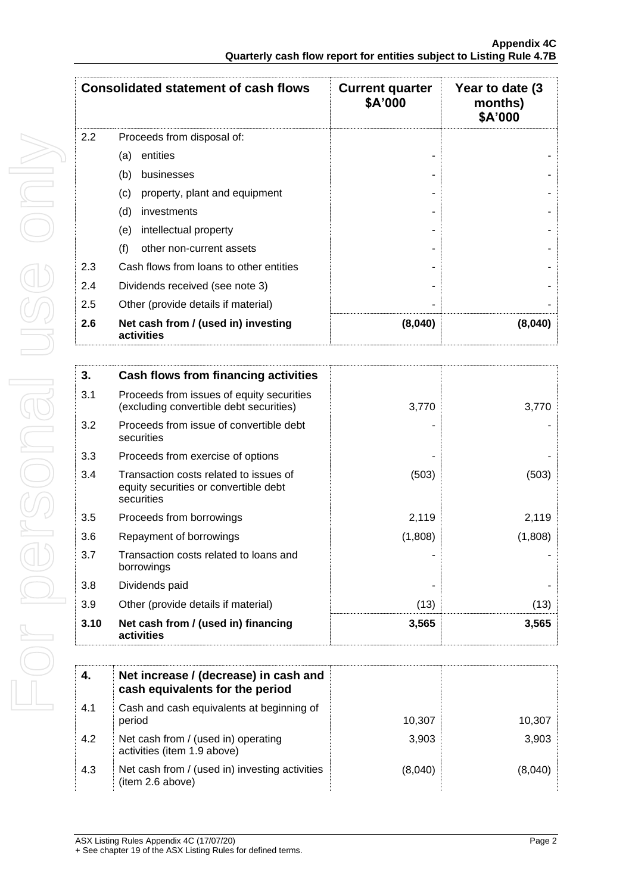|     | <b>Consolidated statement of cash flows</b>       | <b>Current quarter</b><br>\$A'000 | Year to date (3)<br>months)<br>\$A'000 |
|-----|---------------------------------------------------|-----------------------------------|----------------------------------------|
| 2.2 | Proceeds from disposal of:                        |                                   |                                        |
|     | entities<br>(a)                                   |                                   |                                        |
|     | (b)<br>businesses                                 |                                   |                                        |
|     | property, plant and equipment<br>(c)              |                                   |                                        |
|     | (d)<br>investments                                |                                   |                                        |
|     | intellectual property<br>(e)                      |                                   |                                        |
|     | (f)<br>other non-current assets                   |                                   |                                        |
| 2.3 | Cash flows from loans to other entities           |                                   |                                        |
| 2.4 | Dividends received (see note 3)                   |                                   |                                        |
| 2.5 | Other (provide details if material)               |                                   |                                        |
| 2.6 | Net cash from / (used in) investing<br>activities | (8,040)                           | (8,040)                                |

| 3.   | Cash flows from financing activities                                                          |         |         |
|------|-----------------------------------------------------------------------------------------------|---------|---------|
| 3.1  | Proceeds from issues of equity securities<br>(excluding convertible debt securities)          | 3,770   | 3,770   |
| 3.2  | Proceeds from issue of convertible debt<br>securities                                         |         |         |
| 3.3  | Proceeds from exercise of options                                                             |         |         |
| 3.4  | Transaction costs related to issues of<br>equity securities or convertible debt<br>securities | (503)   | (503)   |
| 3.5  | Proceeds from borrowings                                                                      | 2,119   | 2,119   |
| 3.6  | Repayment of borrowings                                                                       | (1,808) | (1,808) |
| 3.7  | Transaction costs related to loans and<br>borrowings                                          |         |         |
| 3.8  | Dividends paid                                                                                |         |         |
| 3.9  | Other (provide details if material)                                                           | (13)    | (13)    |
| 3.10 | Net cash from / (used in) financing<br>activities                                             | 3,565   | 3,565   |

| 4.  | Net increase / (decrease) in cash and<br>cash equivalents for the period |         |         |
|-----|--------------------------------------------------------------------------|---------|---------|
| 4.1 | Cash and cash equivalents at beginning of<br>period                      | 10.307  | 10,307  |
| 4.2 | Net cash from / (used in) operating<br>activities (item 1.9 above)       | 3,903   | 3,903   |
| 4.3 | Net cash from / (used in) investing activities<br>(item 2.6 above)       | (8,040) | (8.040) |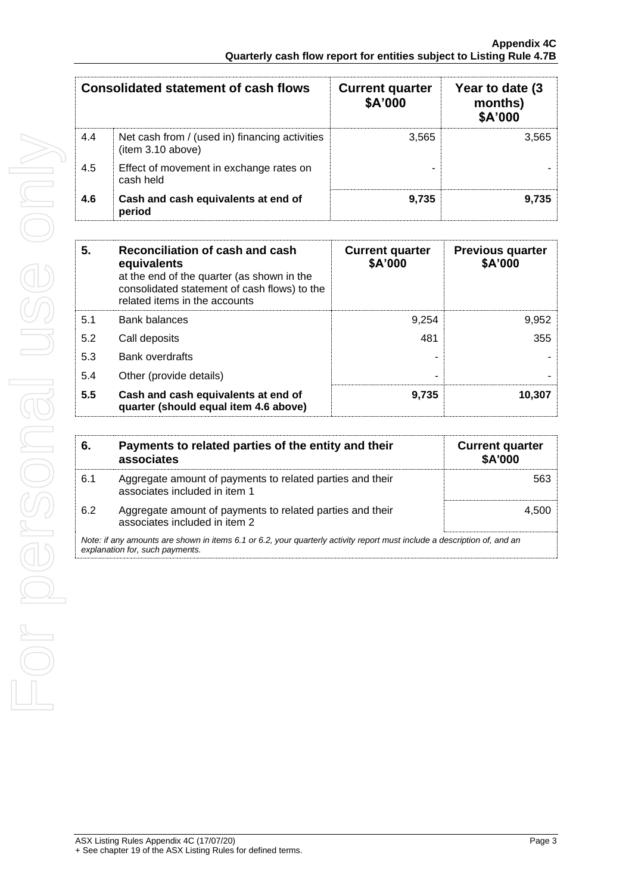|     | Consolidated statement of cash flows                                | <b>Current quarter</b><br>\$A'000 | Year to date (3)<br>months)<br>\$A'000 |
|-----|---------------------------------------------------------------------|-----------------------------------|----------------------------------------|
| 4.4 | Net cash from / (used in) financing activities<br>(item 3.10 above) | 3.565                             | 3.565                                  |
| 4.5 | Effect of movement in exchange rates on<br>cash held                |                                   |                                        |
| 4.6 | Cash and cash equivalents at end of<br>period                       | 9,735                             | 9.735                                  |

| 5.  | Reconciliation of cash and cash<br>equivalents<br>at the end of the quarter (as shown in the<br>consolidated statement of cash flows) to the<br>related items in the accounts | <b>Current quarter</b><br>\$A'000 | <b>Previous quarter</b><br>\$A'000 |
|-----|-------------------------------------------------------------------------------------------------------------------------------------------------------------------------------|-----------------------------------|------------------------------------|
| 5.1 | <b>Bank balances</b>                                                                                                                                                          | 9.254                             | 9,952                              |
| 5.2 | Call deposits                                                                                                                                                                 | 481                               | 355                                |
| 5.3 | <b>Bank overdrafts</b>                                                                                                                                                        |                                   |                                    |
| 5.4 | Other (provide details)                                                                                                                                                       |                                   |                                    |
| 5.5 | Cash and cash equivalents at end of<br>quarter (should equal item 4.6 above)                                                                                                  | 9,735                             | 10,307                             |

| 6.  | Payments to related parties of the entity and their<br>associates                                                                                           | <b>Current quarter</b><br><b>\$A'000</b> |
|-----|-------------------------------------------------------------------------------------------------------------------------------------------------------------|------------------------------------------|
| 6.1 | Aggregate amount of payments to related parties and their<br>associates included in item 1                                                                  | 563                                      |
| 6.2 | Aggregate amount of payments to related parties and their<br>associates included in item 2                                                                  | 4.500                                    |
|     | Note: if any amounts are shown in items 6.1 or 6.2, your quarterly activity report must include a description of, and an<br>explanation for, such payments. |                                          |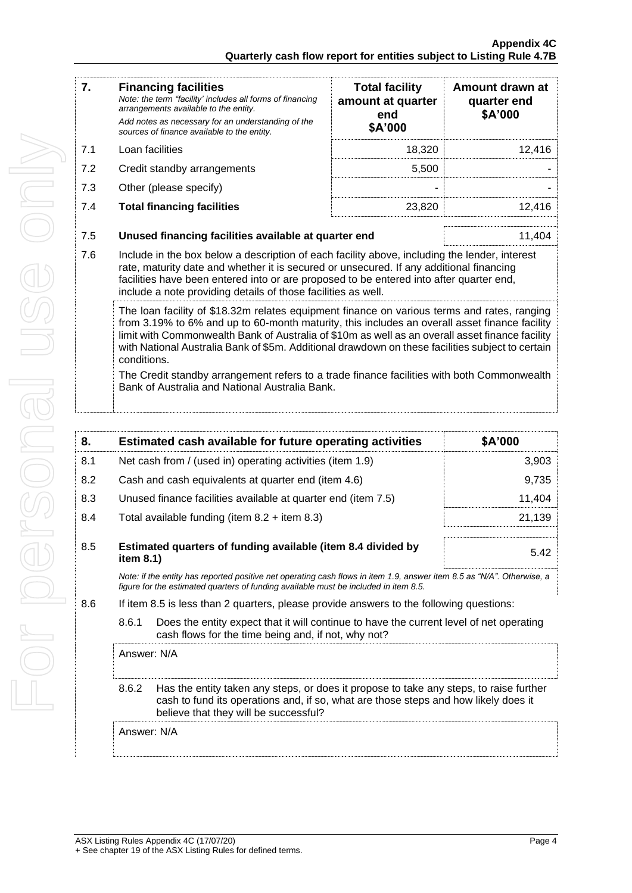| 7.  | <b>Financing facilities</b><br>Note: the term "facility' includes all forms of financing<br>arrangements available to the entity.<br>Add notes as necessary for an understanding of the<br>sources of finance available to the entity.                                                                                                                                                                             | <b>Total facility</b><br>amount at quarter<br>end<br>\$A'000   | Amount drawn at<br>quarter end<br>\$A'000 |  |
|-----|--------------------------------------------------------------------------------------------------------------------------------------------------------------------------------------------------------------------------------------------------------------------------------------------------------------------------------------------------------------------------------------------------------------------|----------------------------------------------------------------|-------------------------------------------|--|
| 7.1 | Loan facilities                                                                                                                                                                                                                                                                                                                                                                                                    | 18,320                                                         | 12,416                                    |  |
| 7.2 | Credit standby arrangements                                                                                                                                                                                                                                                                                                                                                                                        | 5,500                                                          |                                           |  |
| 7.3 | Other (please specify)                                                                                                                                                                                                                                                                                                                                                                                             |                                                                |                                           |  |
| 7.4 | <b>Total financing facilities</b>                                                                                                                                                                                                                                                                                                                                                                                  | 23,820                                                         | 12,416                                    |  |
| 7.5 |                                                                                                                                                                                                                                                                                                                                                                                                                    | 11,404<br>Unused financing facilities available at quarter end |                                           |  |
| 7.6 | Include in the box below a description of each facility above, including the lender, interest<br>rate, maturity date and whether it is secured or unsecured. If any additional financing<br>facilities have been entered into or are proposed to be entered into after quarter end,<br>include a note providing details of those facilities as well.                                                               |                                                                |                                           |  |
|     | The loan facility of \$18.32m relates equipment finance on various terms and rates, ranging<br>from 3.19% to 6% and up to 60-month maturity, this includes an overall asset finance facility<br>limit with Commonwealth Bank of Australia of \$10m as well as an overall asset finance facility<br>with National Australia Bank of \$5m. Additional drawdown on these facilities subject to certain<br>conditions. |                                                                |                                           |  |
|     | The Credit standby arrangement refers to a trade finance facilities with both Commonwealth<br>Bank of Australia and National Australia Bank.                                                                                                                                                                                                                                                                       |                                                                |                                           |  |

| 8.  |                                                                                                                                                                                                                                 | Estimated cash available for future operating activities                                                                                                                                                       | \$A'000 |  |
|-----|---------------------------------------------------------------------------------------------------------------------------------------------------------------------------------------------------------------------------------|----------------------------------------------------------------------------------------------------------------------------------------------------------------------------------------------------------------|---------|--|
| 8.1 | Net cash from / (used in) operating activities (item 1.9)                                                                                                                                                                       |                                                                                                                                                                                                                | 3,903   |  |
| 8.2 |                                                                                                                                                                                                                                 | 9,735<br>Cash and cash equivalents at quarter end (item 4.6)                                                                                                                                                   |         |  |
| 8.3 |                                                                                                                                                                                                                                 | Unused finance facilities available at quarter end (item 7.5)                                                                                                                                                  | 11,404  |  |
| 8.4 |                                                                                                                                                                                                                                 | Total available funding (item $8.2 +$ item $8.3$ )                                                                                                                                                             | 21,139  |  |
| 8.5 | Estimated quarters of funding available (item 8.4 divided by<br>item $8.1$ )                                                                                                                                                    |                                                                                                                                                                                                                | 5.42    |  |
|     |                                                                                                                                                                                                                                 | Note: if the entity has reported positive net operating cash flows in item 1.9, answer item 8.5 as "N/A". Otherwise, a<br>figure for the estimated quarters of funding available must be included in item 8.5. |         |  |
| 8.6 | If item 8.5 is less than 2 quarters, please provide answers to the following questions:                                                                                                                                         |                                                                                                                                                                                                                |         |  |
|     | 8.6.1<br>Does the entity expect that it will continue to have the current level of net operating<br>cash flows for the time being and, if not, why not?                                                                         |                                                                                                                                                                                                                |         |  |
|     | Answer: N/A                                                                                                                                                                                                                     |                                                                                                                                                                                                                |         |  |
|     | 8.6.2<br>Has the entity taken any steps, or does it propose to take any steps, to raise further<br>cash to fund its operations and, if so, what are those steps and how likely does it<br>believe that they will be successful? |                                                                                                                                                                                                                |         |  |
|     | Answer: N/A                                                                                                                                                                                                                     |                                                                                                                                                                                                                |         |  |